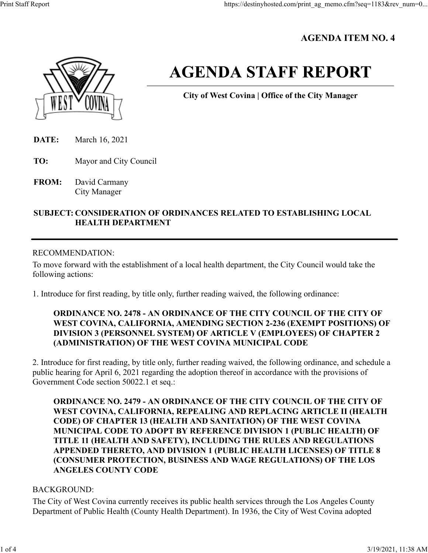# **AGENDA ITEM NO. 4**



# **AGENDA STAFF REPORT**

**City of West Covina | Office of the City Manager**

- **DATE:** March 16, 2021
- **TO:** Mayor and City Council
- **FROM:** David Carmany City Manager

# **SUBJECT: CONSIDERATION OF ORDINANCES RELATED TO ESTABLISHING LOCAL HEALTH DEPARTMENT**

#### RECOMMENDATION:

To move forward with the establishment of a local health department, the City Council would take the following actions:

1. Introduce for first reading, by title only, further reading waived, the following ordinance:

# **ORDINANCE NO. 2478 - AN ORDINANCE OF THE CITY COUNCIL OF THE CITY OF WEST COVINA, CALIFORNIA, AMENDING SECTION 2-236 (EXEMPT POSITIONS) OF DIVISION 3 (PERSONNEL SYSTEM) OF ARTICLE V (EMPLOYEES) OF CHAPTER 2 (ADMINISTRATION) OF THE WEST COVINA MUNICIPAL CODE**

2. Introduce for first reading, by title only, further reading waived, the following ordinance, and schedule a public hearing for April 6, 2021 regarding the adoption thereof in accordance with the provisions of Government Code section 50022.1 et seq.:

**ORDINANCE NO. 2479 - AN ORDINANCE OF THE CITY COUNCIL OF THE CITY OF WEST COVINA, CALIFORNIA, REPEALING AND REPLACING ARTICLE II (HEALTH CODE) OF CHAPTER 13 (HEALTH AND SANITATION) OF THE WEST COVINA MUNICIPAL CODE TO ADOPT BY REFERENCE DIVISION 1 (PUBLIC HEALTH) OF TITLE 11 (HEALTH AND SAFETY), INCLUDING THE RULES AND REGULATIONS APPENDED THERETO, AND DIVISION 1 (PUBLIC HEALTH LICENSES) OF TITLE 8 (CONSUMER PROTECTION, BUSINESS AND WAGE REGULATIONS) OF THE LOS ANGELES COUNTY CODE**

# BACKGROUND:

The City of West Covina currently receives its public health services through the Los Angeles County Department of Public Health (County Health Department). In 1936, the City of West Covina adopted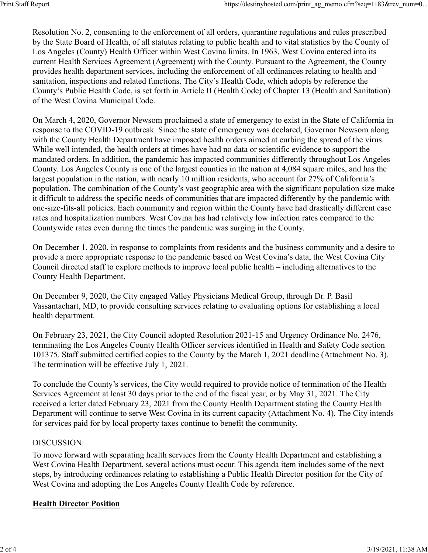Resolution No. 2, consenting to the enforcement of all orders, quarantine regulations and rules prescribed by the State Board of Health, of all statutes relating to public health and to vital statistics by the County of Los Angeles (County) Health Officer within West Covina limits. In 1963, West Covina entered into its current Health Services Agreement (Agreement) with the County. Pursuant to the Agreement, the County provides health department services, including the enforcement of all ordinances relating to health and sanitation, inspections and related functions. The City's Health Code, which adopts by reference the County's Public Health Code, is set forth in Article II (Health Code) of Chapter 13 (Health and Sanitation) of the West Covina Municipal Code.

On March 4, 2020, Governor Newsom proclaimed a state of emergency to exist in the State of California in response to the COVID-19 outbreak. Since the state of emergency was declared, Governor Newsom along with the County Health Department have imposed health orders aimed at curbing the spread of the virus. While well intended, the health orders at times have had no data or scientific evidence to support the mandated orders. In addition, the pandemic has impacted communities differently throughout Los Angeles County. Los Angeles County is one of the largest counties in the nation at 4,084 square miles, and has the largest population in the nation, with nearly 10 million residents, who account for 27% of California's population. The combination of the County's vast geographic area with the significant population size make it difficult to address the specific needs of communities that are impacted differently by the pandemic with one-size-fits-all policies. Each community and region within the County have had drastically different case rates and hospitalization numbers. West Covina has had relatively low infection rates compared to the Countywide rates even during the times the pandemic was surging in the County.

On December 1, 2020, in response to complaints from residents and the business community and a desire to provide a more appropriate response to the pandemic based on West Covina's data, the West Covina City Council directed staff to explore methods to improve local public health – including alternatives to the County Health Department.

On December 9, 2020, the City engaged Valley Physicians Medical Group, through Dr. P. Basil Vassantachart, MD, to provide consulting services relating to evaluating options for establishing a local health department.

On February 23, 2021, the City Council adopted Resolution 2021-15 and Urgency Ordinance No. 2476, terminating the Los Angeles County Health Officer services identified in Health and Safety Code section 101375. Staff submitted certified copies to the County by the March 1, 2021 deadline (Attachment No. 3). The termination will be effective July 1, 2021.

To conclude the County's services, the City would required to provide notice of termination of the Health Services Agreement at least 30 days prior to the end of the fiscal year, or by May 31, 2021. The City received a letter dated February 23, 2021 from the County Health Department stating the County Health Department will continue to serve West Covina in its current capacity (Attachment No. 4). The City intends for services paid for by local property taxes continue to benefit the community.

#### DISCUSSION:

To move forward with separating health services from the County Health Department and establishing a West Covina Health Department, several actions must occur. This agenda item includes some of the next steps, by introducing ordinances relating to establishing a Public Health Director position for the City of West Covina and adopting the Los Angeles County Health Code by reference.

# **Health Director Position**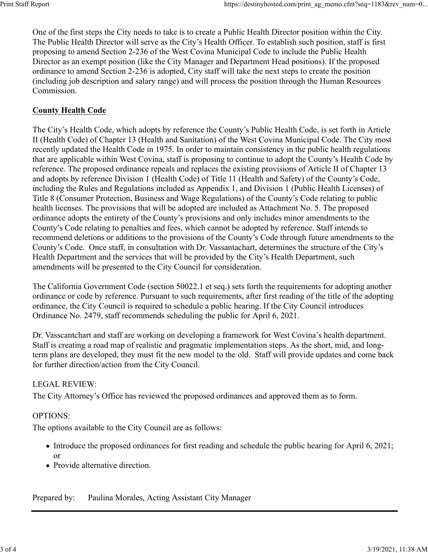One of the first steps the City needs to take is to create a Public Health Director position within the City. The Public Health Director will serve as the City's Health Officer. To establish such position, staff is first proposing to amend Section 2-236 of the West Covina Municipal Code to include the Public Health Director as an exempt position (like the City Manager and Department Head positions). If the proposed ordinance to amend Section 2-236 is adopted, City staff will take the next steps to create the position (including job description and salary range) and will process the position through the Human Resources Commission.

# **County Health Code**

The City's Health Code, which adopts by reference the County's Public Health Code, is set forth in Article II (Health Code) of Chapter 13 (Health and Sanitation) of the West Covina Municipal Code. The City most recently updated the Health Code in 1975. In order to maintain consistency in the public health regulations that are applicable within West Covina, staff is proposing to continue to adopt the County's Health Code by reference. The proposed ordinance repeals and replaces the existing provisions of Article II of Chapter 13 and adopts by reference Division 1 (Health Code) of Title 11 (Health and Safety) of the County's Code, including the Rules and Regulations included as Appendix 1, and Division 1 (Public Health Licenses) of Title 8 (Consumer Protection, Business and Wage Regulations) of the County's Code relating to public health licenses. The provisions that will be adopted are included as Attachment No. 5. The proposed ordinance adopts the entirety of the County's provisions and only includes minor amendments to the County's Code relating to penalties and fees, which cannot be adopted by reference. Staff intends to recommend deletions or additions to the provisions of the County's Code through future amendments to the County's Code. Once staff, in consultation with Dr. Vassantachart, determines the structure of the City's Health Department and the services that will be provided by the City's Health Department, such amendments will be presented to the City Council for consideration.

The California Government Code (section 50022.1 et seq.) sets forth the requirements for adopting another ordinance or code by reference. Pursuant to such requirements, after first reading of the title of the adopting ordinance, the City Council is required to schedule a public hearing. If the City Council introduces Ordinance No. 2479, staff recommends scheduling the public for April 6, 2021.

Dr. Vasscantchart and staff are working on developing a framework for West Covina's health department. Staff is creating a road map of realistic and pragmatic implementation steps. As the short, mid, and longterm plans are developed, they must fit the new model to the old. Staff will provide updates and come back for further direction/action from the City Council.

#### LEGAL REVIEW:

The City Attorney's Office has reviewed the proposed ordinances and approved them as to form.

#### OPTIONS:

The options available to the City Council are as follows:

- Introduce the proposed ordinances for first reading and schedule the public hearing for April 6, 2021; or
- Provide alternative direction.

Prepared by: Paulina Morales, Acting Assistant City Manager